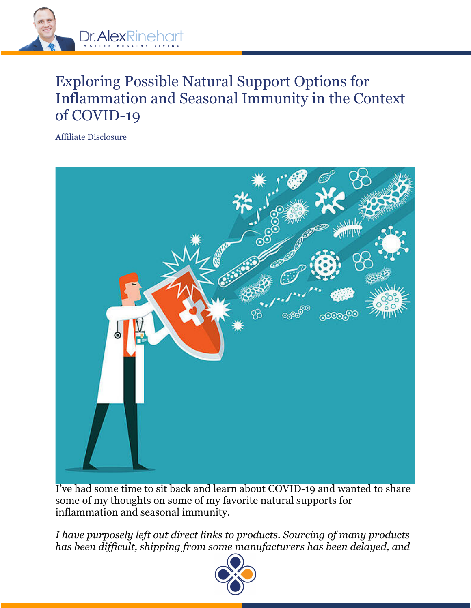

# Exploring Possible Natural Support Options for Inflammation and Seasonal Immunity in the Context of COVID-19

Affiliate Disclosure



I've had some time to sit back and learn about COVID-19 and wanted to share some of my thoughts on some of my favorite natural supports for inflammation and seasonal immunity.

*I have purposely left out direct links to products. Sourcing of many products has been difficult, shipping from some manufacturers has been delayed, and* 

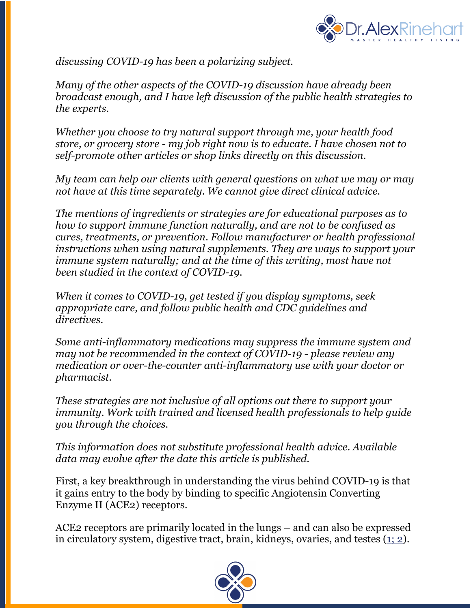

*discussing COVID-19 has been a polarizing subject.*

*Many of the other aspects of the COVID-19 discussion have already been broadcast enough, and I have left discussion of the public health strategies to the experts.*

*Whether you choose to try natural support through me, your health food store, or grocery store - my job right now is to educate. I have chosen not to self-promote other articles or shop links directly on this discussion.*

*My team can help our clients with general questions on what we may or may not have at this time separately. We cannot give direct clinical advice.*

*The mentions of ingredients or strategies are for educational purposes as to how to support immune function naturally, and are not to be confused as cures, treatments, or prevention. Follow manufacturer or health professional instructions when using natural supplements. They are ways to support your immune system naturally; and at the time of this writing, most have not been studied in the context of COVID-19.*

*When it comes to COVID-19, get tested if you display symptoms, seek appropriate care, and follow public health and CDC guidelines and directives.*

*Some anti-inflammatory medications may suppress the immune system and may not be recommended in the context of COVID-19 - please review any medication or over-the-counter anti-inflammatory use with your doctor or pharmacist.*

*These strategies are not inclusive of all options out there to support your immunity. Work with trained and licensed health professionals to help guide you through the choices.*

*This information does not substitute professional health advice. Available data may evolve after the date this article is published.*

First, a key breakthrough in understanding the virus behind COVID-19 is that it gains entry to the body by binding to specific Angiotensin Converting Enzyme II (ACE2) receptors.

ACE2 receptors are primarily located in the lungs – and can also be expressed in circulatory system, digestive tract, brain, kidneys, ovaries, and testes (1; 2).

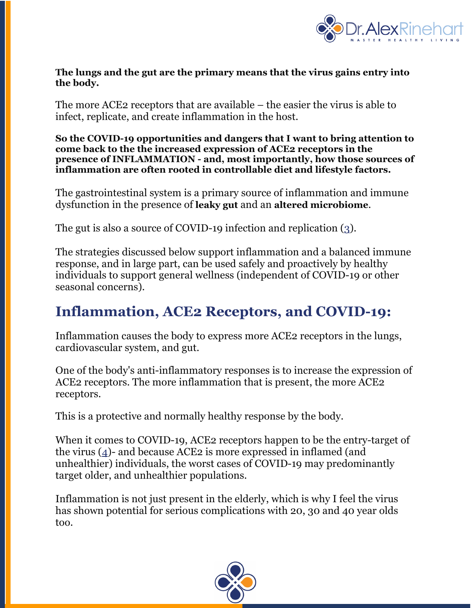

#### **The lungs and the gut are the primary means that the virus gains entry into the body.**

The more ACE2 receptors that are available – the easier the virus is able to infect, replicate, and create inflammation in the host.

**So the COVID-19 opportunities and dangers that I want to bring attention to come back to the the increased expression of ACE2 receptors in the presence of INFLAMMATION - and, most importantly, how those sources of inflammation are often rooted in controllable diet and lifestyle factors.**

The gastrointestinal system is a primary source of inflammation and immune dysfunction in the presence of **leaky gut** and an **altered microbiome**.

The gut is also a source of COVID-19 infection and replication (3).

The strategies discussed below support inflammation and a balanced immune response, and in large part, can be used safely and proactively by healthy individuals to support general wellness (independent of COVID-19 or other seasonal concerns).

# **Inflammation, ACE2 Receptors, and COVID-19:**

Inflammation causes the body to express more ACE2 receptors in the lungs, cardiovascular system, and gut.

One of the body's anti-inflammatory responses is to increase the expression of ACE2 receptors. The more inflammation that is present, the more ACE2 receptors.

This is a protective and normally healthy response by the body.

When it comes to COVID-19, ACE2 receptors happen to be the entry-target of the virus (4)- and because ACE2 is more expressed in inflamed (and unhealthier) individuals, the worst cases of COVID-19 may predominantly target older, and unhealthier populations.

Inflammation is not just present in the elderly, which is why I feel the virus has shown potential for serious complications with 20, 30 and 40 year olds too.

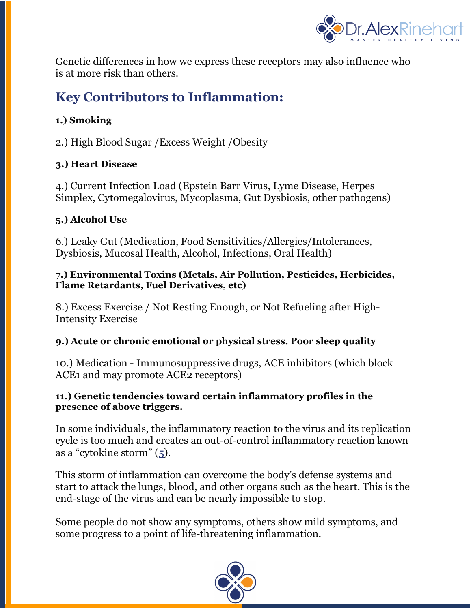

Genetic differences in how we express these receptors may also influence who is at more risk than others.

# **Key Contributors to Inflammation:**

### **1.) Smoking**

2.) High Blood Sugar /Excess Weight /Obesity

### **3.) Heart Disease**

4.) Current Infection Load (Epstein Barr Virus, Lyme Disease, Herpes Simplex, Cytomegalovirus, Mycoplasma, Gut Dysbiosis, other pathogens)

#### **5.) Alcohol Use**

6.) Leaky Gut (Medication, Food Sensitivities/Allergies/Intolerances, Dysbiosis, Mucosal Health, Alcohol, Infections, Oral Health)

#### **7.) Environmental Toxins (Metals, Air Pollution, Pesticides, Herbicides, Flame Retardants, Fuel Derivatives, etc)**

8.) Excess Exercise / Not Resting Enough, or Not Refueling after High-Intensity Exercise

### **9.) Acute or chronic emotional or physical stress. Poor sleep quality**

10.) Medication - Immunosuppressive drugs, ACE inhibitors (which block ACE1 and may promote ACE2 receptors)

#### **11.) Genetic tendencies toward certain inflammatory profiles in the presence of above triggers.**

In some individuals, the inflammatory reaction to the virus and its replication cycle is too much and creates an out-of-control inflammatory reaction known as a "cytokine storm" (5).

This storm of inflammation can overcome the body's defense systems and start to attack the lungs, blood, and other organs such as the heart. This is the end-stage of the virus and can be nearly impossible to stop.

Some people do not show any symptoms, others show mild symptoms, and some progress to a point of life-threatening inflammation.

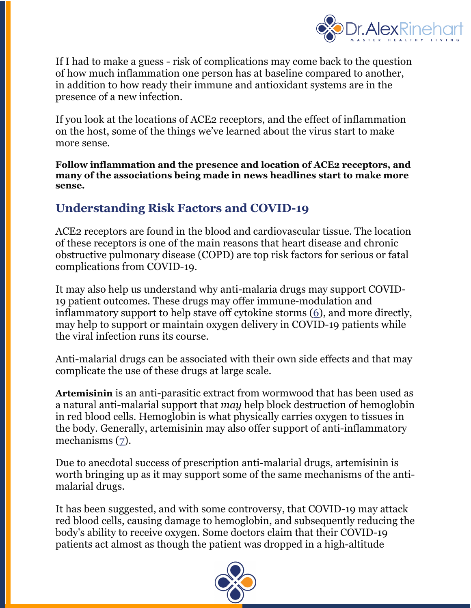

If I had to make a guess - risk of complications may come back to the question of how much inflammation one person has at baseline compared to another, in addition to how ready their immune and antioxidant systems are in the presence of a new infection.

If you look at the locations of ACE2 receptors, and the effect of inflammation on the host, some of the things we've learned about the virus start to make more sense.

**Follow inflammation and the presence and location of ACE2 receptors, and many of the associations being made in news headlines start to make more sense.**

## **Understanding Risk Factors and COVID-19**

ACE2 receptors are found in the blood and cardiovascular tissue. The location of these receptors is one of the main reasons that heart disease and chronic obstructive pulmonary disease (COPD) are top risk factors for serious or fatal complications from COVID-19.

It may also help us understand why anti-malaria drugs may support COVID-19 patient outcomes. These drugs may offer immune-modulation and inflammatory support to help stave off cytokine storms (6), and more directly, may help to support or maintain oxygen delivery in COVID-19 patients while the viral infection runs its course.

Anti-malarial drugs can be associated with their own side effects and that may complicate the use of these drugs at large scale.

**Artemisinin** is an anti-parasitic extract from wormwood that has been used as a natural anti-malarial support that *may* help block destruction of hemoglobin in red blood cells. Hemoglobin is what physically carries oxygen to tissues in the body. Generally, artemisinin may also offer support of anti-inflammatory mechanisms (7).

Due to anecdotal success of prescription anti-malarial drugs, artemisinin is worth bringing up as it may support some of the same mechanisms of the antimalarial drugs.

It has been suggested, and with some controversy, that COVID-19 may attack red blood cells, causing damage to hemoglobin, and subsequently reducing the body's ability to receive oxygen. Some doctors claim that their COVID-19 patients act almost as though the patient was dropped in a high-altitude

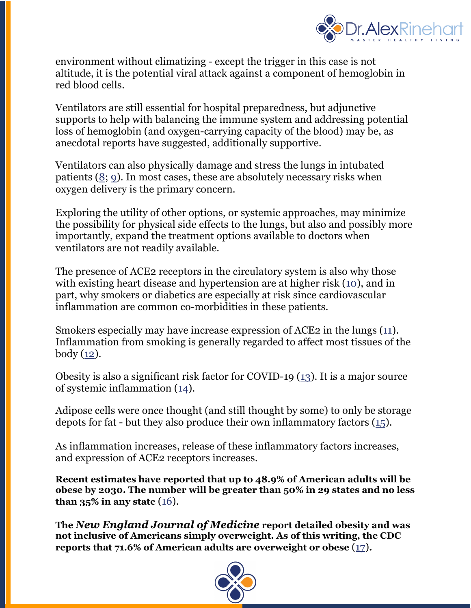

environment without climatizing - except the trigger in this case is not altitude, it is the potential viral attack against a component of hemoglobin in red blood cells.

Ventilators are still essential for hospital preparedness, but adjunctive supports to help with balancing the immune system and addressing potential loss of hemoglobin (and oxygen-carrying capacity of the blood) may be, as anecdotal reports have suggested, additionally supportive.

Ventilators can also physically damage and stress the lungs in intubated patients (8; 9). In most cases, these are absolutely necessary risks when oxygen delivery is the primary concern.

Exploring the utility of other options, or systemic approaches, may minimize the possibility for physical side effects to the lungs, but also and possibly more importantly, expand the treatment options available to doctors when ventilators are not readily available.

The presence of ACE2 receptors in the circulatory system is also why those with existing heart disease and hypertension are at higher risk (10), and in part, why smokers or diabetics are especially at risk since cardiovascular inflammation are common co-morbidities in these patients.

Smokers especially may have increase expression of ACE2 in the lungs (11). Inflammation from smoking is generally regarded to affect most tissues of the body  $(12)$ .

Obesity is also a significant risk factor for COVID-19 (13). It is a major source of systemic inflammation (14).

Adipose cells were once thought (and still thought by some) to only be storage depots for fat - but they also produce their own inflammatory factors (15).

As inflammation increases, release of these inflammatory factors increases, and expression of ACE2 receptors increases.

**Recent estimates have reported that up to 48.9% of American adults will be obese by 2030. The number will be greater than 50% in 29 states and no less than 35% in any state**  $(16)$ .

**The** *New England Journal of Medicine* **report detailed obesity and was not inclusive of Americans simply overweight. As of this writing, the CDC reports that 71.6% of American adults are overweight or obese** (17)**.**

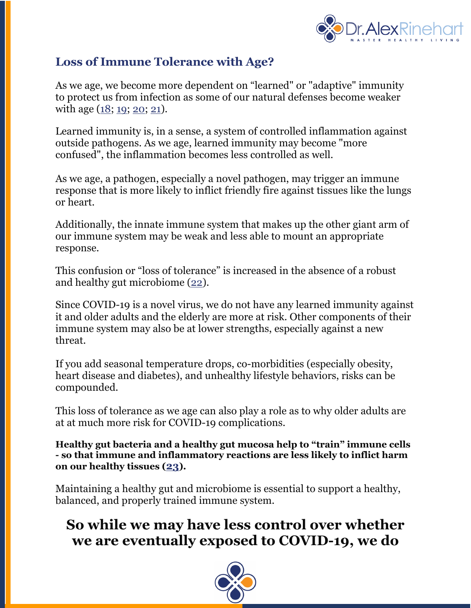

### **Loss of Immune Tolerance with Age?**

As we age, we become more dependent on "learned" or "adaptive" immunity to protect us from infection as some of our natural defenses become weaker with age (18; 19; 20; 21).

Learned immunity is, in a sense, a system of controlled inflammation against outside pathogens. As we age, learned immunity may become "more confused", the inflammation becomes less controlled as well.

As we age, a pathogen, especially a novel pathogen, may trigger an immune response that is more likely to inflict friendly fire against tissues like the lungs or heart.

Additionally, the innate immune system that makes up the other giant arm of our immune system may be weak and less able to mount an appropriate response.

This confusion or "loss of tolerance" is increased in the absence of a robust and healthy gut microbiome (22).

Since COVID-19 is a novel virus, we do not have any learned immunity against it and older adults and the elderly are more at risk. Other components of their immune system may also be at lower strengths, especially against a new threat.

If you add seasonal temperature drops, co-morbidities (especially obesity, heart disease and diabetes), and unhealthy lifestyle behaviors, risks can be compounded.

This loss of tolerance as we age can also play a role as to why older adults are at at much more risk for COVID-19 complications.

**Healthy gut bacteria and a healthy gut mucosa help to "train" immune cells - so that immune and inflammatory reactions are less likely to inflict harm on our healthy tissues (23).**

Maintaining a healthy gut and microbiome is essential to support a healthy, balanced, and properly trained immune system.

# **So while we may have less control over whether we are eventually exposed to COVID-19, we do**

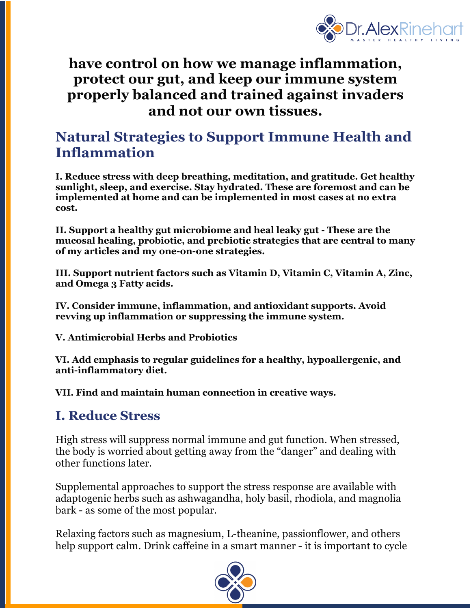

# **have control on how we manage inflammation, protect our gut, and keep our immune system properly balanced and trained against invaders and not our own tissues.**

# **Natural Strategies to Support Immune Health and Inflammation**

**I. Reduce stress with deep breathing, meditation, and gratitude. Get healthy sunlight, sleep, and exercise. Stay hydrated. These are foremost and can be implemented at home and can be implemented in most cases at no extra cost.**

**II. Support a healthy gut microbiome and heal leaky gut - These are the mucosal healing, probiotic, and prebiotic strategies that are central to many of my articles and my one-on-one strategies.**

**III. Support nutrient factors such as Vitamin D, Vitamin C, Vitamin A, Zinc, and Omega 3 Fatty acids.**

**IV. Consider immune, inflammation, and antioxidant supports. Avoid revving up inflammation or suppressing the immune system.**

**V. Antimicrobial Herbs and Probiotics**

**VI. Add emphasis to regular guidelines for a healthy, hypoallergenic, and anti-inflammatory diet.**

**VII. Find and maintain human connection in creative ways.**

## **I. Reduce Stress**

High stress will suppress normal immune and gut function. When stressed, the body is worried about getting away from the "danger" and dealing with other functions later.

Supplemental approaches to support the stress response are available with adaptogenic herbs such as ashwagandha, holy basil, rhodiola, and magnolia bark - as some of the most popular.

Relaxing factors such as magnesium, L-theanine, passionflower, and others help support calm. Drink caffeine in a smart manner - it is important to cycle

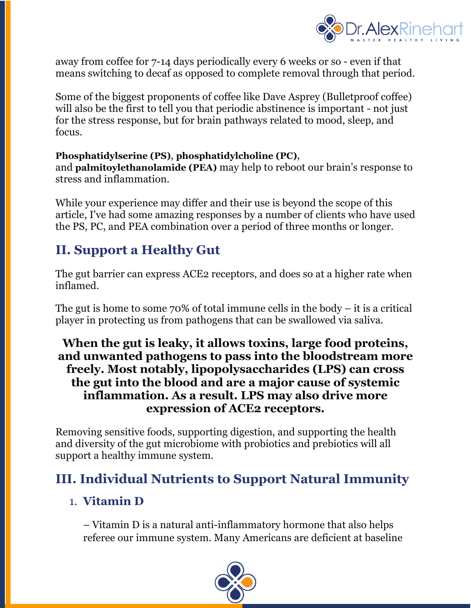

away from coffee for 7-14 days periodically every 6 weeks or so - even if that means switching to decaf as opposed to complete removal through that period.

Some of the biggest proponents of coffee like Dave Asprey (Bulletproof coffee) will also be the first to tell you that periodic abstinence is important - not just for the stress response, but for brain pathways related to mood, sleep, and focus.

### **Phosphatidylserine (PS)**, **phosphatidylcholine (PC)**,

and **palmitoylethanolamide (PEA)** may help to reboot our brain's response to stress and inflammation.

While your experience may differ and their use is beyond the scope of this article, I've had some amazing responses by a number of clients who have used the PS, PC, and PEA combination over a period of three months or longer.

# **II. Support a Healthy Gut**

The gut barrier can express ACE2 receptors, and does so at a higher rate when inflamed.

The gut is home to some  $70\%$  of total immune cells in the body – it is a critical player in protecting us from pathogens that can be swallowed via saliva.

### **When the gut is leaky, it allows toxins, large food proteins, and unwanted pathogens to pass into the bloodstream more freely. Most notably, lipopolysaccharides (LPS) can cross the gut into the blood and are a major cause of systemic inflammation. As a result. LPS may also drive more expression of ACE2 receptors.**

Removing sensitive foods, supporting digestion, and supporting the health and diversity of the gut microbiome with probiotics and prebiotics will all support a healthy immune system.

## **III. Individual Nutrients to Support Natural Immunity**

### 1. **Vitamin D**

– Vitamin D is a natural anti-inflammatory hormone that also helps referee our immune system. Many Americans are deficient at baseline

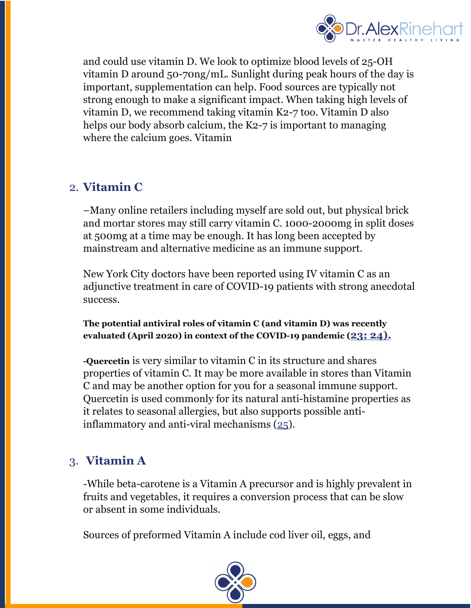

and could use vitamin D. We look to optimize blood levels of 25-OH vitamin D around 50-70ng/mL. Sunlight during peak hours of the day is important, supplementation can help. Food sources are typically not strong enough to make a significant impact. When taking high levels of vitamin D, we recommend taking vitamin K2-7 too. Vitamin D also helps our body absorb calcium, the K2-7 is important to managing where the calcium goes. Vitamin

### 2. **Vitamin C**

–Many online retailers including myself are sold out, but physical brick and mortar stores may still carry vitamin C. 1000-2000mg in split doses at 500mg at a time may be enough. It has long been accepted by mainstream and alternative medicine as an immune support.

New York City doctors have been reported using IV vitamin C as an adjunctive treatment in care of COVID-19 patients with strong anecdotal success.

**The potential antiviral roles of vitamin C (and vitamin D) was recently evaluated (April 2020) in context of the COVID-19 pandemic (23; 24).**

**-Quercetin** is very similar to vitamin C in its structure and shares properties of vitamin C. It may be more available in stores than Vitamin C and may be another option for you for a seasonal immune support. Quercetin is used commonly for its natural anti-histamine properties as it relates to seasonal allergies, but also supports possible antiinflammatory and anti-viral mechanisms (25).

### 3. **Vitamin A**

-While beta-carotene is a Vitamin A precursor and is highly prevalent in fruits and vegetables, it requires a conversion process that can be slow or absent in some individuals.

Sources of preformed Vitamin A include cod liver oil, eggs, and

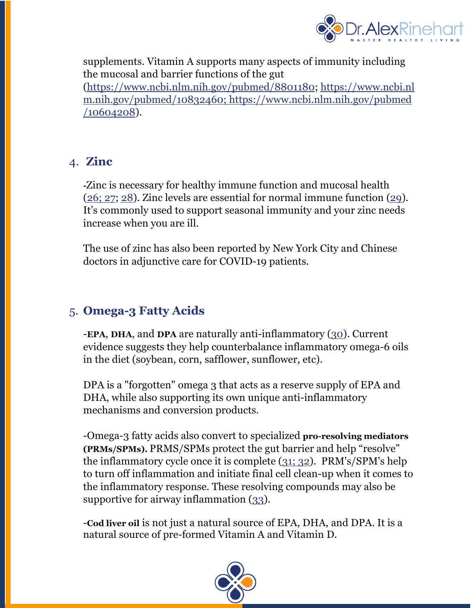

supplements. Vitamin A supports many aspects of immunity including the mucosal and barrier functions of the gut

(https://www.ncbi.nlm.nih.gov/pubmed/8801180; https://www.ncbi.nl m.nih.gov/pubmed/10832460; https://www.ncbi.nlm.nih.gov/pubmed /10604208).

### 4. **Zinc**

**-**Zinc is necessary for healthy immune function and mucosal health (26; 27; 28). Zinc levels are essential for normal immune function (29). It's commonly used to support seasonal immunity and your zinc needs increase when you are ill.

The use of zinc has also been reported by New York City and Chinese doctors in adjunctive care for COVID-19 patients.

## 5. **Omega-3 Fatty Acids**

-**EPA**, **DHA**, and **DPA** are naturally anti-inflammatory (30). Current evidence suggests they help counterbalance inflammatory omega-6 oils in the diet (soybean, corn, safflower, sunflower, etc).

DPA is a "forgotten" omega 3 that acts as a reserve supply of EPA and DHA, while also supporting its own unique anti-inflammatory mechanisms and conversion products.

-Omega-3 fatty acids also convert to specialized **pro-resolving mediators (PRMs/SPMs).** PRMS/SPMs protect the gut barrier and help "resolve" the inflammatory cycle once it is complete (31; 32). PRM's/SPM's help to turn off inflammation and initiate final cell clean-up when it comes to the inflammatory response. These resolving compounds may also be supportive for airway inflammation (33).

-**Cod liver oil** is not just a natural source of EPA, DHA, and DPA. It is a natural source of pre-formed Vitamin A and Vitamin D.

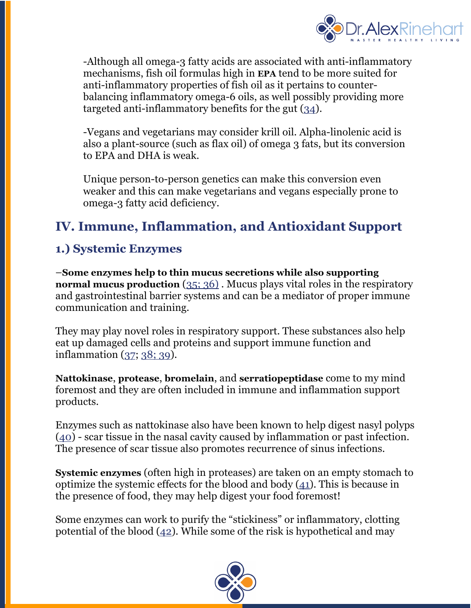

-Although all omega-3 fatty acids are associated with anti-inflammatory mechanisms, fish oil formulas high in **EPA** tend to be more suited for anti-inflammatory properties of fish oil as it pertains to counterbalancing inflammatory omega-6 oils, as well possibly providing more targeted anti-inflammatory benefits for the gut (34).

-Vegans and vegetarians may consider krill oil. Alpha-linolenic acid is also a plant-source (such as flax oil) of omega 3 fats, but its conversion to EPA and DHA is weak.

Unique person-to-person genetics can make this conversion even weaker and this can make vegetarians and vegans especially prone to omega-3 fatty acid deficiency.

# **IV. Immune, Inflammation, and Antioxidant Support**

## **1.) Systemic Enzymes**

–**Some enzymes help to thin mucus secretions while also supporting normal mucus production** (35; 36). Mucus plays vital roles in the respiratory and gastrointestinal barrier systems and can be a mediator of proper immune communication and training.

They may play novel roles in respiratory support. These substances also help eat up damaged cells and proteins and support immune function and inflammation (37; 38; 39).

**Nattokinase**, **protease**, **bromelain**, and **serratiopeptidase** come to my mind foremost and they are often included in immune and inflammation support products.

Enzymes such as nattokinase also have been known to help digest nasyl polyps (40) - scar tissue in the nasal cavity caused by inflammation or past infection. The presence of scar tissue also promotes recurrence of sinus infections.

**Systemic enzymes** (often high in proteases) are taken on an empty stomach to optimize the systemic effects for the blood and body (41). This is because in the presence of food, they may help digest your food foremost!

Some enzymes can work to purify the "stickiness" or inflammatory, clotting potential of the blood  $(42)$ . While some of the risk is hypothetical and may

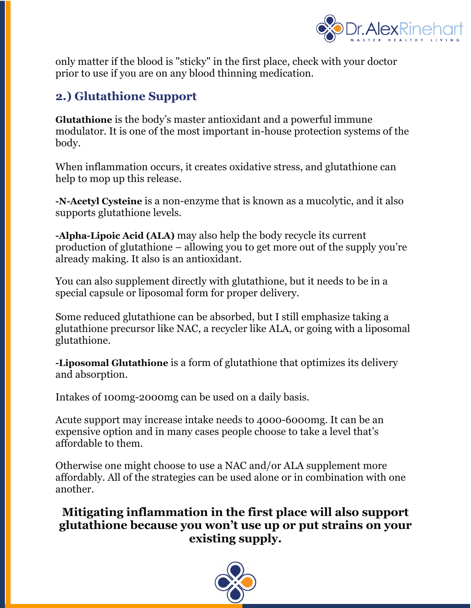

only matter if the blood is "sticky" in the first place, check with your doctor prior to use if you are on any blood thinning medication.

## **2.) Glutathione Support**

**Glutathione** is the body's master antioxidant and a powerful immune modulator. It is one of the most important in-house protection systems of the body.

When inflammation occurs, it creates oxidative stress, and glutathione can help to mop up this release.

**-N-Acetyl Cysteine** is a non-enzyme that is known as a mucolytic, and it also supports glutathione levels.

**-Alpha-Lipoic Acid (ALA)** may also help the body recycle its current production of glutathione – allowing you to get more out of the supply you're already making. It also is an antioxidant.

You can also supplement directly with glutathione, but it needs to be in a special capsule or liposomal form for proper delivery.

Some reduced glutathione can be absorbed, but I still emphasize taking a glutathione precursor like NAC, a recycler like ALA, or going with a liposomal glutathione.

**-Liposomal Glutathione** is a form of glutathione that optimizes its delivery and absorption.

Intakes of 100mg-2000mg can be used on a daily basis.

Acute support may increase intake needs to 4000-6000mg. It can be an expensive option and in many cases people choose to take a level that's affordable to them.

Otherwise one might choose to use a NAC and/or ALA supplement more affordably. All of the strategies can be used alone or in combination with one another.

### **Mitigating inflammation in the first place will also support glutathione because you won't use up or put strains on your existing supply.**

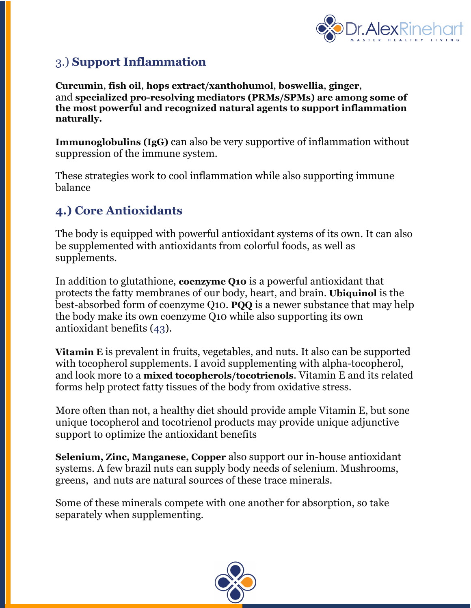

## 3.) **Support Inflammation**

**Curcumin**, **fish oil**, **hops extract/xanthohumol**, **boswellia**, **ginger**, and **specialized pro-resolving mediators (PRMs/SPMs) are among some of the most powerful and recognized natural agents to support inflammation naturally.**

**Immunoglobulins (IgG)** can also be very supportive of inflammation without suppression of the immune system.

These strategies work to cool inflammation while also supporting immune balance

## **4.) Core Antioxidants**

The body is equipped with powerful antioxidant systems of its own. It can also be supplemented with antioxidants from colorful foods, as well as supplements.

In addition to glutathione, **coenzyme Q10** is a powerful antioxidant that protects the fatty membranes of our body, heart, and brain. **Ubiquinol** is the best-absorbed form of coenzyme Q10. **PQQ** is a newer substance that may help the body make its own coenzyme Q10 while also supporting its own antioxidant benefits (43).

**Vitamin E** is prevalent in fruits, vegetables, and nuts. It also can be supported with tocopherol supplements. I avoid supplementing with alpha-tocopherol, and look more to a **mixed tocopherols/tocotrienols**. Vitamin E and its related forms help protect fatty tissues of the body from oxidative stress.

More often than not, a healthy diet should provide ample Vitamin E, but sone unique tocopherol and tocotrienol products may provide unique adjunctive support to optimize the antioxidant benefits

**Selenium, Zinc, Manganese, Copper** also support our in-house antioxidant systems. A few brazil nuts can supply body needs of selenium. Mushrooms, greens, and nuts are natural sources of these trace minerals.

Some of these minerals compete with one another for absorption, so take separately when supplementing.

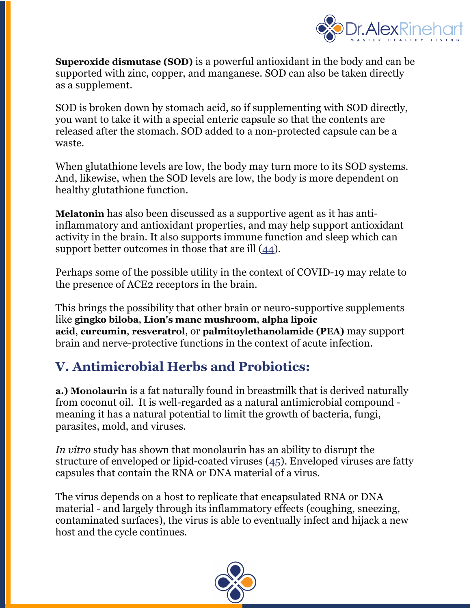

**Superoxide dismutase (SOD)** is a powerful antioxidant in the body and can be supported with zinc, copper, and manganese. SOD can also be taken directly as a supplement.

SOD is broken down by stomach acid, so if supplementing with SOD directly, you want to take it with a special enteric capsule so that the contents are released after the stomach. SOD added to a non-protected capsule can be a waste.

When glutathione levels are low, the body may turn more to its SOD systems. And, likewise, when the SOD levels are low, the body is more dependent on healthy glutathione function.

**Melatonin** has also been discussed as a supportive agent as it has antiinflammatory and antioxidant properties, and may help support antioxidant activity in the brain. It also supports immune function and sleep which can support better outcomes in those that are ill  $(44)$ .

Perhaps some of the possible utility in the context of COVID-19 may relate to the presence of ACE2 receptors in the brain.

This brings the possibility that other brain or neuro-supportive supplements like **gingko biloba**, **Lion's mane mushroom**, **alpha lipoic acid**, **curcumin**, **resveratrol**, or **palmitoylethanolamide (PEA)** may support brain and nerve-protective functions in the context of acute infection.

# **V. Antimicrobial Herbs and Probiotics:**

**a.) Monolaurin** is a fat naturally found in breastmilk that is derived naturally from coconut oil. It is well-regarded as a natural antimicrobial compound meaning it has a natural potential to limit the growth of bacteria, fungi, parasites, mold, and viruses.

*In vitro* study has shown that monolaurin has an ability to disrupt the structure of enveloped or lipid-coated viruses (45). Enveloped viruses are fatty capsules that contain the RNA or DNA material of a virus.

The virus depends on a host to replicate that encapsulated RNA or DNA material - and largely through its inflammatory effects (coughing, sneezing, contaminated surfaces), the virus is able to eventually infect and hijack a new host and the cycle continues.

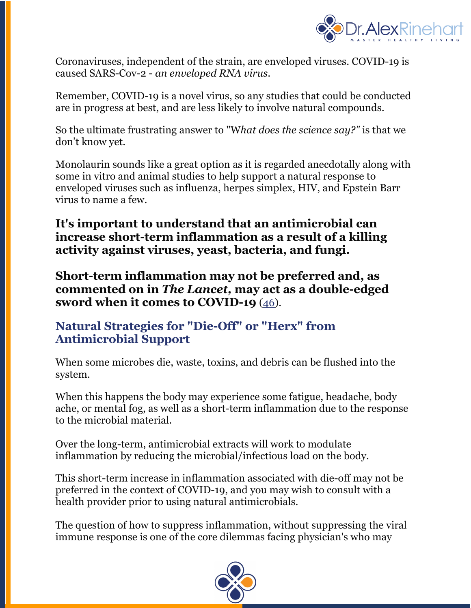

Coronaviruses, independent of the strain, are enveloped viruses. COVID-19 is caused SARS-Cov-2 - *an enveloped RNA virus*.

Remember, COVID-19 is a novel virus, so any studies that could be conducted are in progress at best, and are less likely to involve natural compounds.

So the ultimate frustrating answer to "W*hat does the science say?"* is that we don't know yet.

Monolaurin sounds like a great option as it is regarded anecdotally along with some in vitro and animal studies to help support a natural response to enveloped viruses such as influenza, herpes simplex, HIV, and Epstein Barr virus to name a few.

**It's important to understand that an antimicrobial can increase short-term inflammation as a result of a killing activity against viruses, yeast, bacteria, and fungi.**

**Short-term inflammation may not be preferred and, as commented on in** *The Lancet,* **may act as a double-edged sword when it comes to COVID-19** (46).

### **Natural Strategies for "Die-Off" or "Herx" from Antimicrobial Support**

When some microbes die, waste, toxins, and debris can be flushed into the system.

When this happens the body may experience some fatigue, headache, body ache, or mental fog, as well as a short-term inflammation due to the response to the microbial material.

Over the long-term, antimicrobial extracts will work to modulate inflammation by reducing the microbial/infectious load on the body.

This short-term increase in inflammation associated with die-off may not be preferred in the context of COVID-19, and you may wish to consult with a health provider prior to using natural antimicrobials.

The question of how to suppress inflammation, without suppressing the viral immune response is one of the core dilemmas facing physician's who may

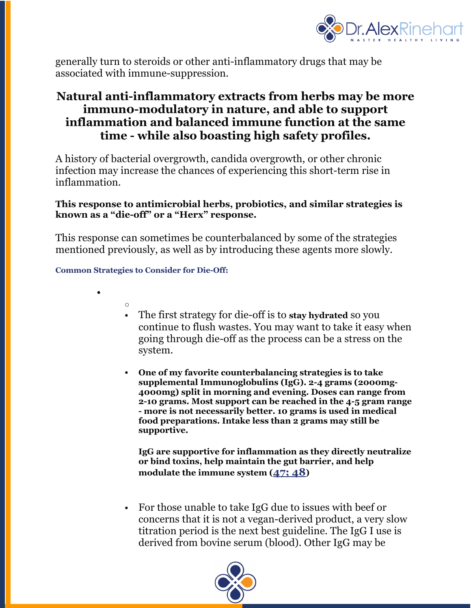

generally turn to steroids or other anti-inflammatory drugs that may be associated with immune-suppression.

### **Natural anti-inflammatory extracts from herbs may be more immun0-modulatory in nature, and able to support inflammation and balanced immune function at the same time - while also boasting high safety profiles.**

A history of bacterial overgrowth, candida overgrowth, or other chronic infection may increase the chances of experiencing this short-term rise in inflammation.

#### **This response to antimicrobial herbs, probiotics, and similar strategies is known as a "die-off" or a "Herx" response.**

This response can sometimes be counterbalanced by some of the strategies mentioned previously, as well as by introducing these agents more slowly.

#### **Common Strategies to Consider for Die-Off:**

o

•

- § The first strategy for die-off is to **stay hydrated** so you continue to flush wastes. You may want to take it easy when going through die-off as the process can be a stress on the system.
- § **One of my favorite counterbalancing strategies is to take supplemental Immunoglobulins (IgG). 2-4 grams (2000mg-4000mg) split in morning and evening. Doses can range from 2-10 grams. Most support can be reached in the 4-5 gram range - more is not necessarily better. 10 grams is used in medical food preparations. Intake less than 2 grams may still be supportive.**

**IgG are supportive for inflammation as they directly neutralize or bind toxins, help maintain the gut barrier, and help modulate the immune system (47; 48)**

§ For those unable to take IgG due to issues with beef or concerns that it is not a vegan-derived product, a very slow titration period is the next best guideline. The IgG I use is derived from bovine serum (blood). Other IgG may be

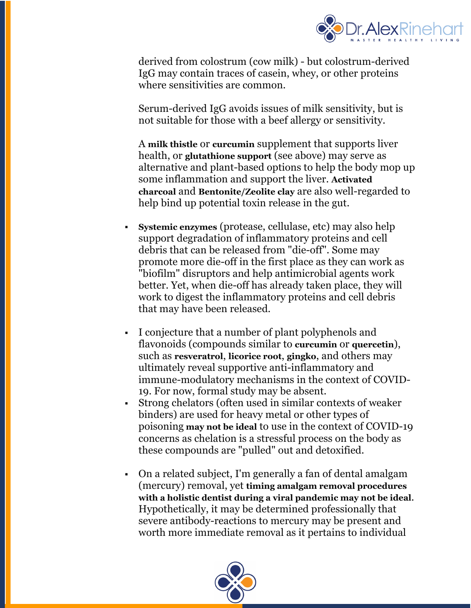

derived from colostrum (cow milk) - but colostrum-derived IgG may contain traces of casein, whey, or other proteins where sensitivities are common.

Serum-derived IgG avoids issues of milk sensitivity, but is not suitable for those with a beef allergy or sensitivity.

A **milk thistle** or **curcumin** supplement that supports liver health, or **glutathione support** (see above) may serve as alternative and plant-based options to help the body mop up some inflammation and support the liver. **Activated charcoal** and **Bentonite/Zeolite clay** are also well-regarded to help bind up potential toxin release in the gut.

- § **Systemic enzymes** (protease, cellulase, etc) may also help support degradation of inflammatory proteins and cell debris that can be released from "die-off". Some may promote more die-off in the first place as they can work as "biofilm" disruptors and help antimicrobial agents work better. Yet, when die-off has already taken place, they will work to digest the inflammatory proteins and cell debris that may have been released.
- § I conjecture that a number of plant polyphenols and flavonoids (compounds similar to **curcumin** or **quercetin**), such as **resveratrol**, **licorice root**, **gingko**, and others may ultimately reveal supportive anti-inflammatory and immune-modulatory mechanisms in the context of COVID-19. For now, formal study may be absent.
- § Strong chelators (often used in similar contexts of weaker binders) are used for heavy metal or other types of poisoning **may not be ideal** to use in the context of COVID-19 concerns as chelation is a stressful process on the body as these compounds are "pulled" out and detoxified.
- On a related subject, I'm generally a fan of dental amalgam (mercury) removal, yet **timing amalgam removal procedures with a holistic dentist during a viral pandemic may not be ideal**. Hypothetically, it may be determined professionally that severe antibody-reactions to mercury may be present and worth more immediate removal as it pertains to individual

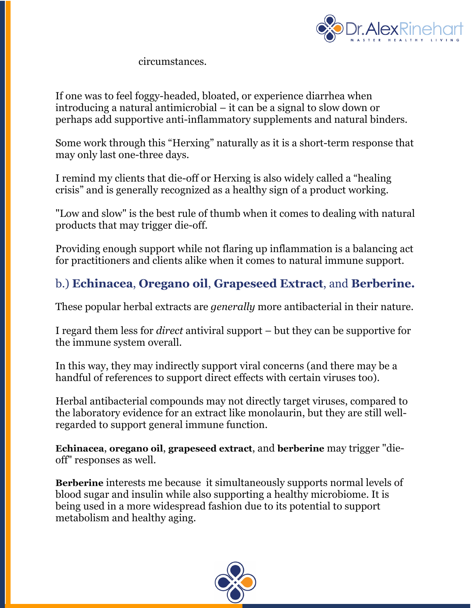

circumstances.

If one was to feel foggy-headed, bloated, or experience diarrhea when introducing a natural antimicrobial – it can be a signal to slow down or perhaps add supportive anti-inflammatory supplements and natural binders.

Some work through this "Herxing" naturally as it is a short-term response that may only last one-three days.

I remind my clients that die-off or Herxing is also widely called a "healing crisis" and is generally recognized as a healthy sign of a product working.

"Low and slow" is the best rule of thumb when it comes to dealing with natural products that may trigger die-off.

Providing enough support while not flaring up inflammation is a balancing act for practitioners and clients alike when it comes to natural immune support.

## b.) **Echinacea**, **Oregano oil**, **Grapeseed Extract**, and **Berberine.**

These popular herbal extracts are *generally* more antibacterial in their nature.

I regard them less for *direct* antiviral support – but they can be supportive for the immune system overall.

In this way, they may indirectly support viral concerns (and there may be a handful of references to support direct effects with certain viruses too).

Herbal antibacterial compounds may not directly target viruses, compared to the laboratory evidence for an extract like monolaurin, but they are still wellregarded to support general immune function.

**Echinacea**, **oregano oil**, **grapeseed extract**, and **berberine** may trigger "dieoff" responses as well.

**Berberine** interests me because it simultaneously supports normal levels of blood sugar and insulin while also supporting a healthy microbiome. It is being used in a more widespread fashion due to its potential to support metabolism and healthy aging.

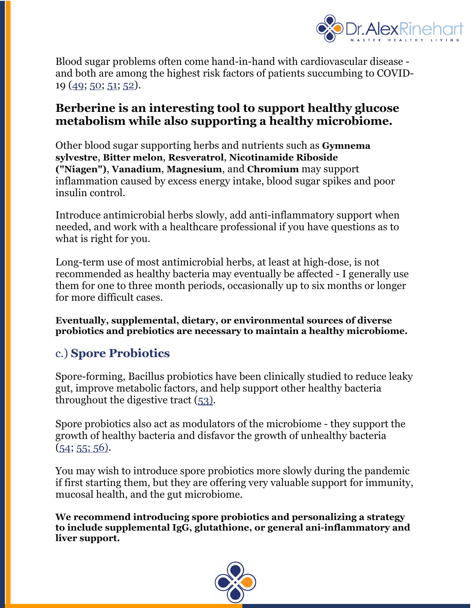

Blood sugar problems often come hand-in-hand with cardiovascular disease and both are among the highest risk factors of patients succumbing to COVID-19 (49; 50; 51; 52).

### **Berberine is an interesting tool to support healthy glucose metabolism while also supporting a healthy microbiome.**

Other blood sugar supporting herbs and nutrients such as **Gymnema sylvestre**, **Bitter melon**, **Resveratrol**, **Nicotinamide Riboside ("Niagen")**, **Vanadium**, **Magnesium**, and **Chromium** may support inflammation caused by excess energy intake, blood sugar spikes and poor insulin control.

Introduce antimicrobial herbs slowly, add anti-inflammatory support when needed, and work with a healthcare professional if you have questions as to what is right for you.

Long-term use of most antimicrobial herbs, at least at high-dose, is not recommended as healthy bacteria may eventually be affected - I generally use them for one to three month periods, occasionally up to six months or longer for more difficult cases.

**Eventually, supplemental, dietary, or environmental sources of diverse probiotics and prebiotics are necessary to maintain a healthy microbiome.**

## c.) **Spore Probiotics**

Spore-forming, Bacillus probiotics have been clinically studied to reduce leaky gut, improve metabolic factors, and help support other healthy bacteria throughout the digestive tract (53).

Spore probiotics also act as modulators of the microbiome - they support the growth of healthy bacteria and disfavor the growth of unhealthy bacteria  $(54; 55; 56).$ 

You may wish to introduce spore probiotics more slowly during the pandemic if first starting them, but they are offering very valuable support for immunity, mucosal health, and the gut microbiome.

**We recommend introducing spore probiotics and personalizing a strategy to include supplemental IgG, glutathione, or general ani-inflammatory and liver support.**

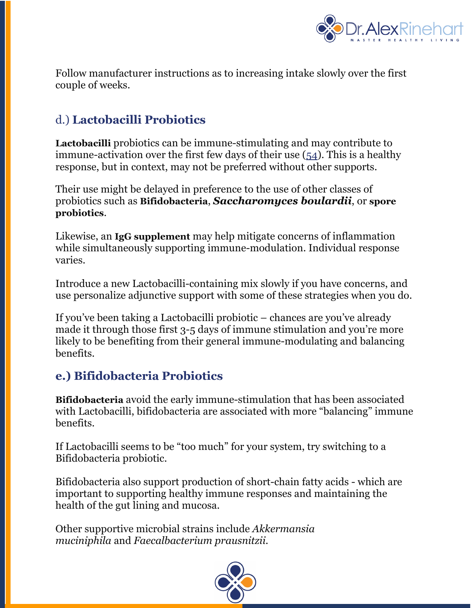

Follow manufacturer instructions as to increasing intake slowly over the first couple of weeks.

## d.) **Lactobacilli Probiotics**

**Lactobacilli** probiotics can be immune-stimulating and may contribute to immune-activation over the first few days of their use (54). This is a healthy response, but in context, may not be preferred without other supports.

Their use might be delayed in preference to the use of other classes of probiotics such as **Bifidobacteria**, *Saccharomyces boulardii*, or **spore probiotics**.

Likewise, an **IgG supplement** may help mitigate concerns of inflammation while simultaneously supporting immune-modulation. Individual response varies.

Introduce a new Lactobacilli-containing mix slowly if you have concerns, and use personalize adjunctive support with some of these strategies when you do.

If you've been taking a Lactobacilli probiotic – chances are you've already made it through those first 3-5 days of immune stimulation and you're more likely to be benefiting from their general immune-modulating and balancing benefits.

## **e.) Bifidobacteria Probiotics**

**Bifidobacteria** avoid the early immune-stimulation that has been associated with Lactobacilli, bifidobacteria are associated with more "balancing" immune benefits.

If Lactobacilli seems to be "too much" for your system, try switching to a Bifidobacteria probiotic.

Bifidobacteria also support production of short-chain fatty acids - which are important to supporting healthy immune responses and maintaining the health of the gut lining and mucosa.

Other supportive microbial strains include *Akkermansia muciniphila* and *Faecalbacterium prausnitzii.*

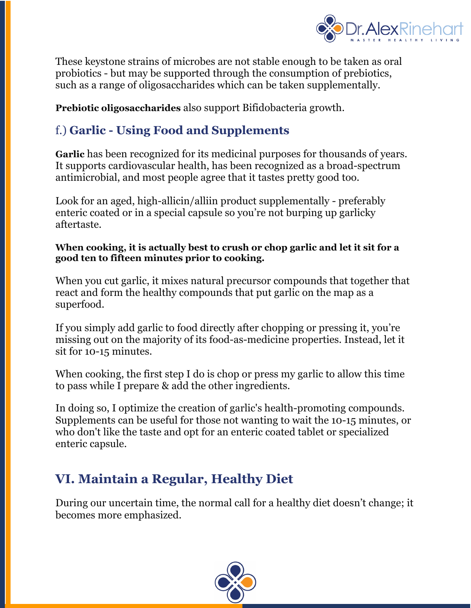

These keystone strains of microbes are not stable enough to be taken as oral probiotics - but may be supported through the consumption of prebiotics, such as a range of oligosaccharides which can be taken supplementally.

**Prebiotic oligosaccharides** also support Bifidobacteria growth.

# f.) **Garlic - Using Food and Supplements**

**Garlic** has been recognized for its medicinal purposes for thousands of years. It supports cardiovascular health, has been recognized as a broad-spectrum antimicrobial, and most people agree that it tastes pretty good too.

Look for an aged, high-allicin/alliin product supplementally - preferably enteric coated or in a special capsule so you're not burping up garlicky aftertaste.

#### **When cooking, it is actually best to crush or chop garlic and let it sit for a good ten to fifteen minutes prior to cooking.**

When you cut garlic, it mixes natural precursor compounds that together that react and form the healthy compounds that put garlic on the map as a superfood.

If you simply add garlic to food directly after chopping or pressing it, you're missing out on the majority of its food-as-medicine properties. Instead, let it sit for 10-15 minutes.

When cooking, the first step I do is chop or press my garlic to allow this time to pass while I prepare & add the other ingredients.

In doing so, I optimize the creation of garlic's health-promoting compounds. Supplements can be useful for those not wanting to wait the 10-15 minutes, or who don't like the taste and opt for an enteric coated tablet or specialized enteric capsule.

# **VI. Maintain a Regular, Healthy Diet**

During our uncertain time, the normal call for a healthy diet doesn't change; it becomes more emphasized.

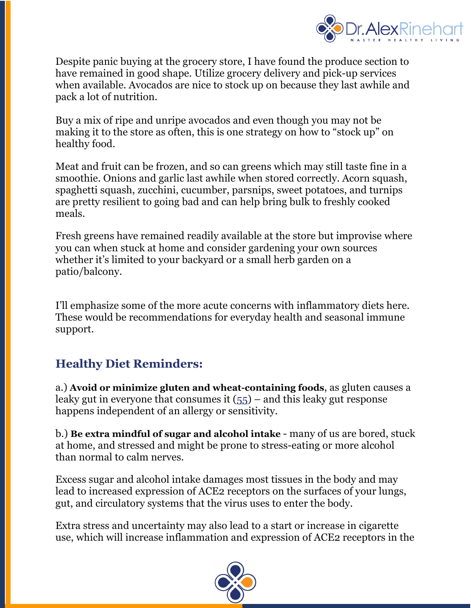

Despite panic buying at the grocery store, I have found the produce section to have remained in good shape. Utilize grocery delivery and pick-up services when available. Avocados are nice to stock up on because they last awhile and pack a lot of nutrition.

Buy a mix of ripe and unripe avocados and even though you may not be making it to the store as often, this is one strategy on how to "stock up" on healthy food.

Meat and fruit can be frozen, and so can greens which may still taste fine in a smoothie. Onions and garlic last awhile when stored correctly. Acorn squash, spaghetti squash, zucchini, cucumber, parsnips, sweet potatoes, and turnips are pretty resilient to going bad and can help bring bulk to freshly cooked meals.

Fresh greens have remained readily available at the store but improvise where you can when stuck at home and consider gardening your own sources whether it's limited to your backyard or a small herb garden on a patio/balcony.

I'll emphasize some of the more acute concerns with inflammatory diets here. These would be recommendations for everyday health and seasonal immune support.

## **Healthy Diet Reminders:**

a.) **Avoid or minimize gluten and wheat-containing foods**, as gluten causes a leaky gut in everyone that consumes it  $(55)$  – and this leaky gut response happens independent of an allergy or sensitivity.

b.) **Be extra mindful of sugar and alcohol intake** - many of us are bored, stuck at home, and stressed and might be prone to stress-eating or more alcohol than normal to calm nerves.

Excess sugar and alcohol intake damages most tissues in the body and may lead to increased expression of ACE2 receptors on the surfaces of your lungs, gut, and circulatory systems that the virus uses to enter the body.

Extra stress and uncertainty may also lead to a start or increase in cigarette use, which will increase inflammation and expression of ACE2 receptors in the

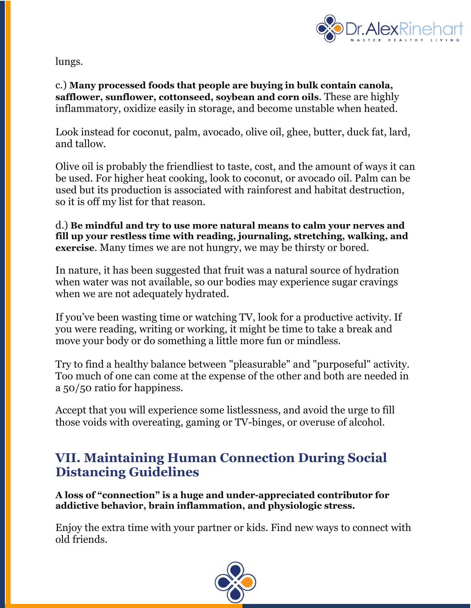

lungs.

c.) **Many processed foods that people are buying in bulk contain canola, safflower, sunflower, cottonseed, soybean and corn oils**. These are highly inflammatory, oxidize easily in storage, and become unstable when heated.

Look instead for coconut, palm, avocado, olive oil, ghee, butter, duck fat, lard, and tallow.

Olive oil is probably the friendliest to taste, cost, and the amount of ways it can be used. For higher heat cooking, look to coconut, or avocado oil. Palm can be used but its production is associated with rainforest and habitat destruction, so it is off my list for that reason.

d.) **Be mindful and try to use more natural means to calm your nerves and fill up your restless time with reading, journaling, stretching, walking, and exercise**. Many times we are not hungry, we may be thirsty or bored.

In nature, it has been suggested that fruit was a natural source of hydration when water was not available, so our bodies may experience sugar cravings when we are not adequately hydrated.

If you've been wasting time or watching TV, look for a productive activity. If you were reading, writing or working, it might be time to take a break and move your body or do something a little more fun or mindless.

Try to find a healthy balance between "pleasurable" and "purposeful" activity. Too much of one can come at the expense of the other and both are needed in a 50/50 ratio for happiness.

Accept that you will experience some listlessness, and avoid the urge to fill those voids with overeating, gaming or TV-binges, or overuse of alcohol.

# **VII. Maintaining Human Connection During Social Distancing Guidelines**

**A loss of "connection" is a huge and under-appreciated contributor for addictive behavior, brain inflammation, and physiologic stress.**

Enjoy the extra time with your partner or kids. Find new ways to connect with old friends.

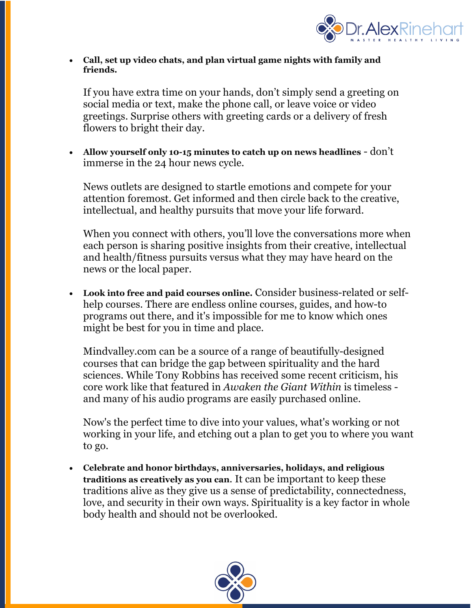

• **Call, set up video chats, and plan virtual game nights with family and friends.**

If you have extra time on your hands, don't simply send a greeting on social media or text, make the phone call, or leave voice or video greetings. Surprise others with greeting cards or a delivery of fresh flowers to bright their day.

• **Allow yourself only 10-15 minutes to catch up on news headlines** - don't immerse in the 24 hour news cycle.

News outlets are designed to startle emotions and compete for your attention foremost. Get informed and then circle back to the creative, intellectual, and healthy pursuits that move your life forward.

When you connect with others, you'll love the conversations more when each person is sharing positive insights from their creative, intellectual and health/fitness pursuits versus what they may have heard on the news or the local paper.

• **Look into free and paid courses online.** Consider business-related or selfhelp courses. There are endless online courses, guides, and how-to programs out there, and it's impossible for me to know which ones might be best for you in time and place.

Mindvalley.com can be a source of a range of beautifully-designed courses that can bridge the gap between spirituality and the hard sciences. While Tony Robbins has received some recent criticism, his core work like that featured in *Awaken the Giant Within* is timeless and many of his audio programs are easily purchased online.

Now's the perfect time to dive into your values, what's working or not working in your life, and etching out a plan to get you to where you want to go.

• **Celebrate and honor birthdays, anniversaries, holidays, and religious traditions as creatively as you can**. It can be important to keep these traditions alive as they give us a sense of predictability, connectedness, love, and security in their own ways. Spirituality is a key factor in whole body health and should not be overlooked.

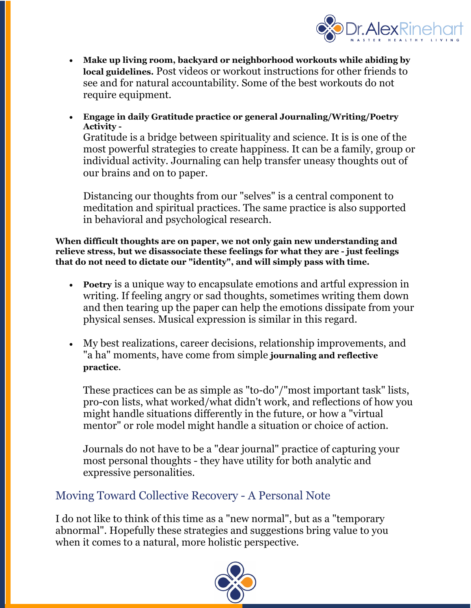

- **Make up living room, backyard or neighborhood workouts while abiding by local guidelines.** Post videos or workout instructions for other friends to see and for natural accountability. Some of the best workouts do not require equipment.
- **Engage in daily Gratitude practice or general Journaling/Writing/Poetry Activity -**

Gratitude is a bridge between spirituality and science. It is is one of the most powerful strategies to create happiness. It can be a family, group or individual activity. Journaling can help transfer uneasy thoughts out of our brains and on to paper.

Distancing our thoughts from our "selves" is a central component to meditation and spiritual practices. The same practice is also supported in behavioral and psychological research.

**When difficult thoughts are on paper, we not only gain new understanding and relieve stress, but we disassociate these feelings for what they are - just feelings that do not need to dictate our "identity", and will simply pass with time.**

- **Poetry** is a unique way to encapsulate emotions and artful expression in writing. If feeling angry or sad thoughts, sometimes writing them down and then tearing up the paper can help the emotions dissipate from your physical senses. Musical expression is similar in this regard.
- My best realizations, career decisions, relationship improvements, and "a ha" moments, have come from simple **journaling and reflective practice**.

These practices can be as simple as "to-do"/"most important task" lists, pro-con lists, what worked/what didn't work, and reflections of how you might handle situations differently in the future, or how a "virtual mentor" or role model might handle a situation or choice of action.

Journals do not have to be a "dear journal" practice of capturing your most personal thoughts - they have utility for both analytic and expressive personalities.

### Moving Toward Collective Recovery - A Personal Note

I do not like to think of this time as a "new normal", but as a "temporary abnormal". Hopefully these strategies and suggestions bring value to you when it comes to a natural, more holistic perspective.